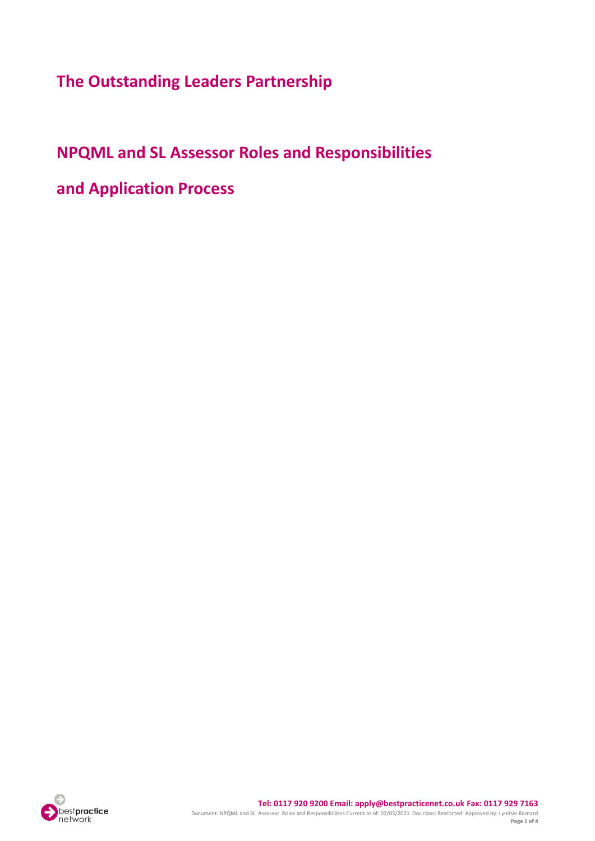**The Outstanding Leaders Partnership**

# **NPQML and SL Assessor Roles and Responsibilities**

**and Application Process**

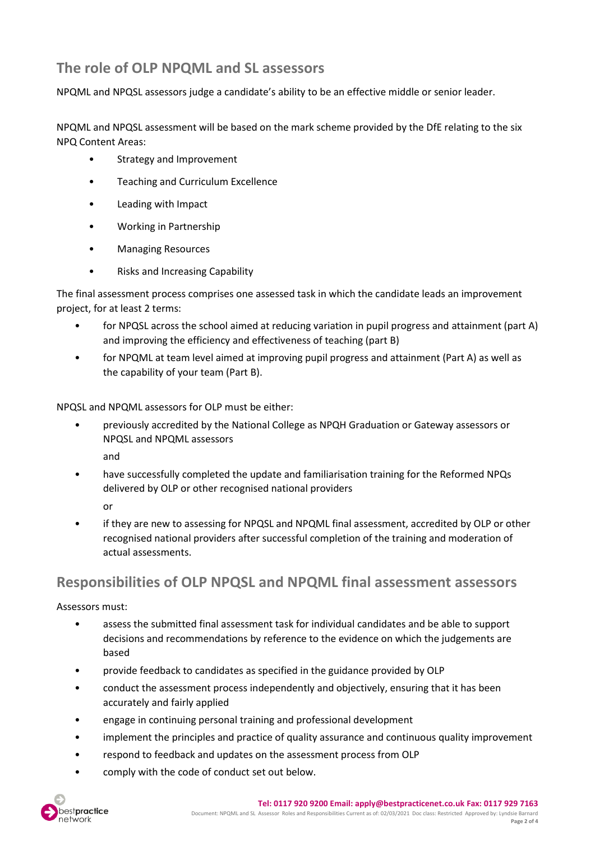## **The role of OLP NPQML and SL assessors**

NPQML and NPQSL assessors judge a candidate's ability to be an effective middle or senior leader.

NPQML and NPQSL assessment will be based on the mark scheme provided by the DfE relating to the six NPQ Content Areas:

- Strategy and Improvement
- Teaching and Curriculum Excellence
- Leading with Impact
- Working in Partnership
- Managing Resources
- Risks and Increasing Capability

The final assessment process comprises one assessed task in which the candidate leads an improvement project, for at least 2 terms:

- for NPQSL across the school aimed at reducing variation in pupil progress and attainment (part A) and improving the efficiency and effectiveness of teaching (part B)
- for NPQML at team level aimed at improving pupil progress and attainment (Part A) as well as the capability of your team (Part B).

NPQSL and NPQML assessors for OLP must be either:

• previously accredited by the National College as NPQH Graduation or Gateway assessors or NPQSL and NPQML assessors

and

• have successfully completed the update and familiarisation training for the Reformed NPQs delivered by OLP or other recognised national providers

or

• if they are new to assessing for NPQSL and NPQML final assessment, accredited by OLP or other recognised national providers after successful completion of the training and moderation of actual assessments.

## **Responsibilities of OLP NPQSL and NPQML final assessment assessors**

Assessors must:

- assess the submitted final assessment task for individual candidates and be able to support decisions and recommendations by reference to the evidence on which the judgements are based
- provide feedback to candidates as specified in the guidance provided by OLP
- conduct the assessment process independently and objectively, ensuring that it has been accurately and fairly applied
- engage in continuing personal training and professional development
- implement the principles and practice of quality assurance and continuous quality improvement
- respond to feedback and updates on the assessment process from OLP
- comply with the code of conduct set out below.

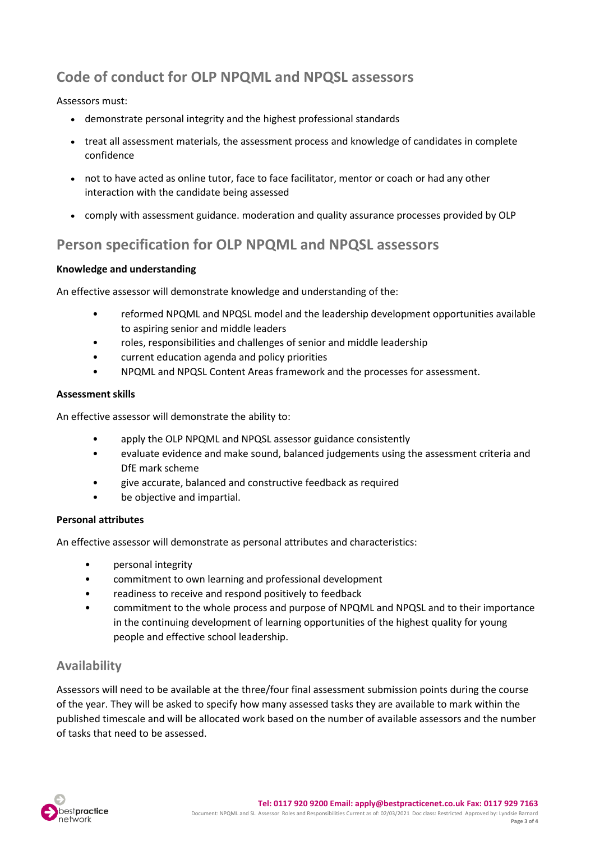## **Code of conduct for OLP NPQML and NPQSL assessors**

#### Assessors must:

- demonstrate personal integrity and the highest professional standards
- treat all assessment materials, the assessment process and knowledge of candidates in complete confidence
- not to have acted as online tutor, face to face facilitator, mentor or coach or had any other interaction with the candidate being assessed
- comply with assessment guidance. moderation and quality assurance processes provided by OLP

### **Person specification for OLP NPQML and NPQSL assessors**

#### **Knowledge and understanding**

An effective assessor will demonstrate knowledge and understanding of the:

- reformed NPQML and NPQSL model and the leadership development opportunities available to aspiring senior and middle leaders
- roles, responsibilities and challenges of senior and middle leadership
- current education agenda and policy priorities
- NPQML and NPQSL Content Areas framework and the processes for assessment.

#### **Assessment skills**

An effective assessor will demonstrate the ability to:

- apply the OLP NPQML and NPQSL assessor guidance consistently
- evaluate evidence and make sound, balanced judgements using the assessment criteria and DfE mark scheme
- give accurate, balanced and constructive feedback as required
- be objective and impartial.

#### **Personal attributes**

An effective assessor will demonstrate as personal attributes and characteristics:

- personal integrity
- commitment to own learning and professional development
- readiness to receive and respond positively to feedback
- commitment to the whole process and purpose of NPQML and NPQSL and to their importance in the continuing development of learning opportunities of the highest quality for young people and effective school leadership.

### **Availability**

Assessors will need to be available at the three/four final assessment submission points during the course of the year. They will be asked to specify how many assessed tasks they are available to mark within the published timescale and will be allocated work based on the number of available assessors and the number of tasks that need to be assessed.